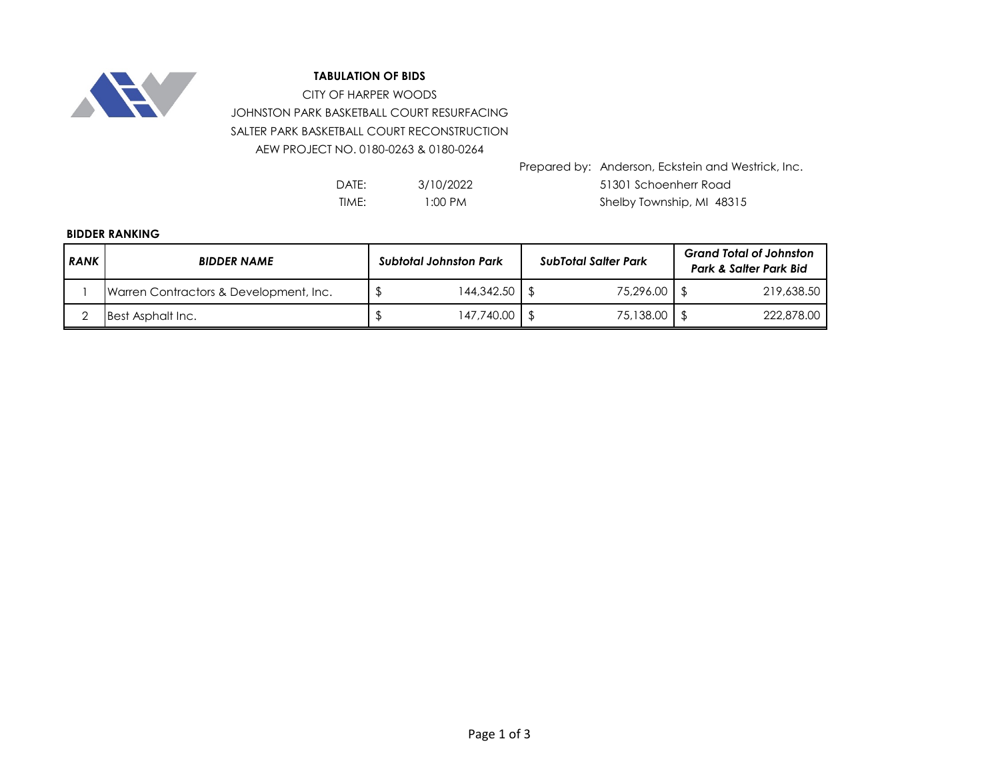

## **TABULATION OF BIDS**

AEW PROJECT NO. 0180-0263 & 0180-0264 CITY OF HARPER WOODS JOHNSTON PARK BASKETBALL COURT RESURFACING SALTER PARK BASKETBALL COURT RECONSTRUCTION

> 1:00 PM 3/10/2022

Prepared by: Anderson, Eckstein and Westrick, Inc. DATE: 3/10/2022 51301 Schoenherr Road TIME: I:00 PM Shelby Township, MI 48315

## **BIDDER RANKING**

| RANK | <b>BIDDER NAME</b>                     | Subtotal Johnston Park |                 | SubTotal Salter Park |           | <b>Grand Total of Johnston</b><br><b>Park &amp; Salter Park Bid</b> |            |
|------|----------------------------------------|------------------------|-----------------|----------------------|-----------|---------------------------------------------------------------------|------------|
|      | Warren Contractors & Development, Inc. |                        | 144,342.50      |                      | 75,296.00 |                                                                     | 219,638.50 |
|      | Best Asphalt Inc.                      |                        | 147,740.00   \$ |                      | 75,138.00 |                                                                     | 222.878.00 |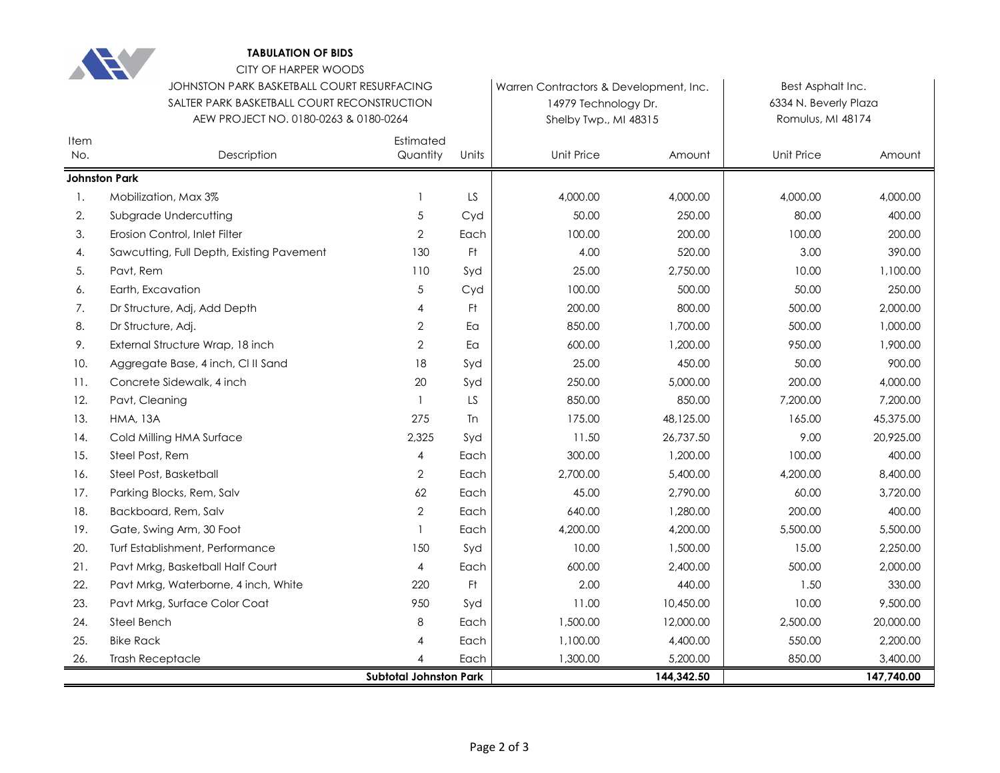

## **TABULATION OF BIDS**

CITY OF HARPER WOODS

|             | JOHNSTON PARK BASKETBALL COURT RESURFACING<br>SALTER PARK BASKETBALL COURT RECONSTRUCTION<br>AEW PROJECT NO. 0180-0263 & 0180-0264 |                               |                | Warren Contractors & Development, Inc.<br>14979 Technology Dr.<br>Shelby Twp., MI 48315 |            | Best Asphalt Inc.<br>6334 N. Beverly Plaza<br>Romulus, MI 48174 |            |  |
|-------------|------------------------------------------------------------------------------------------------------------------------------------|-------------------------------|----------------|-----------------------------------------------------------------------------------------|------------|-----------------------------------------------------------------|------------|--|
| Item<br>No. | Description                                                                                                                        | Estimated<br>Quantity         | Units          | <b>Unit Price</b>                                                                       | Amount     | Unit Price                                                      | Amount     |  |
|             | <b>Johnston Park</b>                                                                                                               |                               |                |                                                                                         |            |                                                                 |            |  |
| 1.          | Mobilization, Max 3%                                                                                                               |                               | LS             | 4,000.00                                                                                | 4,000.00   | 4,000.00                                                        | 4,000.00   |  |
| 2.          | Subgrade Undercutting                                                                                                              | 5                             | Cyd            | 50.00                                                                                   | 250.00     | 80.00                                                           | 400.00     |  |
| 3.          | Erosion Control, Inlet Filter                                                                                                      | $\mathbf{2}$                  | Each           | 100.00                                                                                  | 200.00     | 100.00                                                          | 200.00     |  |
| 4.          | Sawcutting, Full Depth, Existing Pavement                                                                                          | 130                           | F <sup>†</sup> | 4.00                                                                                    | 520.00     | 3.00                                                            | 390.00     |  |
| 5.          | Pavt, Rem                                                                                                                          | 110                           | Syd            | 25.00                                                                                   | 2,750.00   | 10.00                                                           | 1,100.00   |  |
| 6.          | Earth, Excavation                                                                                                                  | 5                             | Cyd            | 100.00                                                                                  | 500.00     | 50.00                                                           | 250.00     |  |
| 7.          | Dr Structure, Adj, Add Depth                                                                                                       | $\boldsymbol{\vartriangle}$   | Ft.            | 200.00                                                                                  | 800.00     | 500.00                                                          | 2,000.00   |  |
| 8.          | Dr Structure, Adj.                                                                                                                 | 2                             | Ea             | 850.00                                                                                  | 1,700.00   | 500.00                                                          | 1,000.00   |  |
| 9.          | External Structure Wrap, 18 inch                                                                                                   | 2                             | Ea             | 600.00                                                                                  | 1,200.00   | 950.00                                                          | 1,900.00   |  |
| 10.         | Aggregate Base, 4 inch, CI II Sand                                                                                                 | 18                            | Syd            | 25.00                                                                                   | 450.00     | 50.00                                                           | 900.00     |  |
| 11.         | Concrete Sidewalk, 4 inch                                                                                                          | 20                            | Syd            | 250.00                                                                                  | 5,000.00   | 200.00                                                          | 4,000.00   |  |
| 12.         | Pavt, Cleaning                                                                                                                     |                               | LS             | 850.00                                                                                  | 850.00     | 7,200.00                                                        | 7,200.00   |  |
| 13.         | <b>HMA, 13A</b>                                                                                                                    | 275                           | <b>T</b> n     | 175.00                                                                                  | 48,125.00  | 165.00                                                          | 45,375.00  |  |
| 14.         | Cold Milling HMA Surface                                                                                                           | 2,325                         | Syd            | 11.50                                                                                   | 26,737.50  | 9.00                                                            | 20,925.00  |  |
| 15.         | Steel Post, Rem                                                                                                                    | 4                             | Each           | 300.00                                                                                  | 1,200.00   | 100.00                                                          | 400.00     |  |
| 16.         | Steel Post, Basketball                                                                                                             | $\overline{2}$                | Each           | 2,700.00                                                                                | 5,400.00   | 4,200.00                                                        | 8,400.00   |  |
| 17.         | Parking Blocks, Rem, Salv                                                                                                          | 62                            | Each           | 45.00                                                                                   | 2,790.00   | 60.00                                                           | 3,720.00   |  |
| 18.         | Backboard, Rem, Salv                                                                                                               | $\overline{2}$                | Each           | 640.00                                                                                  | 1,280.00   | 200.00                                                          | 400.00     |  |
| 19.         | Gate, Swing Arm, 30 Foot                                                                                                           |                               | Each           | 4,200.00                                                                                | 4,200.00   | 5,500.00                                                        | 5,500.00   |  |
| 20.         | Turf Establishment, Performance                                                                                                    | 150                           | Syd            | 10.00                                                                                   | 1,500.00   | 15.00                                                           | 2,250.00   |  |
| 21.         | Pavt Mrkg, Basketball Half Court                                                                                                   | 4                             | Each           | 600.00                                                                                  | 2,400.00   | 500.00                                                          | 2,000.00   |  |
| 22.         | Pavt Mrkg, Waterborne, 4 inch, White                                                                                               | 220                           | Ft.            | 2.00                                                                                    | 440.00     | 1.50                                                            | 330.00     |  |
| 23.         | Pavt Mrkg, Surface Color Coat                                                                                                      | 950                           | Syd            | 11.00                                                                                   | 10,450.00  | 10.00                                                           | 9,500.00   |  |
| 24.         | Steel Bench                                                                                                                        | 8                             | Each           | 1,500.00                                                                                | 12,000.00  | 2,500.00                                                        | 20,000.00  |  |
| 25.         | <b>Bike Rack</b>                                                                                                                   | $\boldsymbol{\vartriangle}$   | Each           | 1,100.00                                                                                | 4,400.00   | 550.00                                                          | 2,200.00   |  |
| 26.         | <b>Trash Receptacle</b>                                                                                                            |                               | Each           | 1,300.00                                                                                | 5,200.00   | 850.00                                                          | 3,400.00   |  |
|             |                                                                                                                                    | <b>Subtotal Johnston Park</b> |                |                                                                                         | 144,342.50 |                                                                 | 147,740.00 |  |